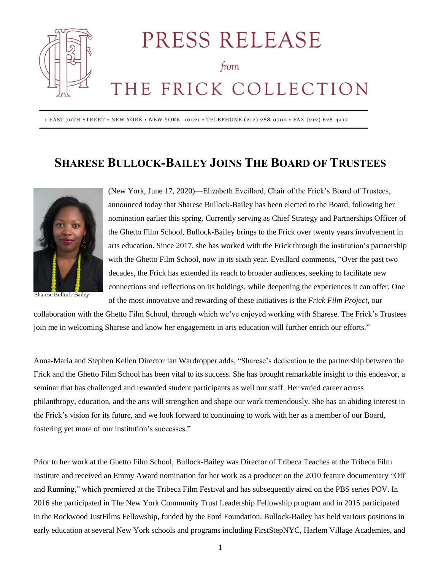

PRESS RELEASE

from

## THE FRICK COLLECTION

1 EAST 70TH STREET · NEW YORK · NEW YORK 10021 · TELEPHONE (212) 288-0700 · FAX (212) 628-4417

## **SHARESE BULLOCK-BAILEY JOINS THE BOARD OF TRUSTEES**



Sharese Bullock-Bailey

(New York, June 17, 2020)—Elizabeth Eveillard, Chair of the Frick's Board of Trustees, announced today that Sharese Bullock-Bailey has been elected to the Board, following her nomination earlier this spring. Currently serving as Chief Strategy and Partnerships Officer of the Ghetto Film School, Bullock-Bailey brings to the Frick over twenty years involvement in arts education. Since 2017, she has worked with the Frick through the institution's partnership with the Ghetto Film School, now in its sixth year. Eveillard comments, "Over the past two decades, the Frick has extended its reach to broader audiences, seeking to facilitate new connections and reflections on its holdings, while deepening the experiences it can offer. One of the most innovative and rewarding of these initiatives is the *Frick Film Project*, our

collaboration with the Ghetto Film School, through which we've enjoyed working with Sharese. The Frick's Trustees join me in welcoming Sharese and know her engagement in arts education will further enrich our efforts."

Anna-Maria and Stephen Kellen Director Ian Wardropper adds, "Sharese's dedication to the partnership between the Frick and the Ghetto Film School has been vital to its success. She has brought remarkable insight to this endeavor, a seminar that has challenged and rewarded student participants as well our staff. Her varied career across philanthropy, education, and the arts will strengthen and shape our work tremendously. She has an abiding interest in the Frick's vision for its future, and we look forward to continuing to work with her as a member of our Board, fostering yet more of our institution's successes."

Prior to her work at the Ghetto Film School, Bullock-Bailey was Director of Tribeca Teaches at the Tribeca Film Institute and received an Emmy Award nomination for her work as a producer on the 2010 feature documentary "Off and Running," which premiered at the Tribeca Film Festival and has subsequently aired on the PBS series POV. In 2016 she participated in The New York Community Trust Leadership Fellowship program and in 2015 participated in the Rockwood JustFilms Fellowship, funded by the Ford Foundation. Bullock-Bailey has held various positions in early education at several New York schools and programs including FirstStepNYC, Harlem Village Academies, and